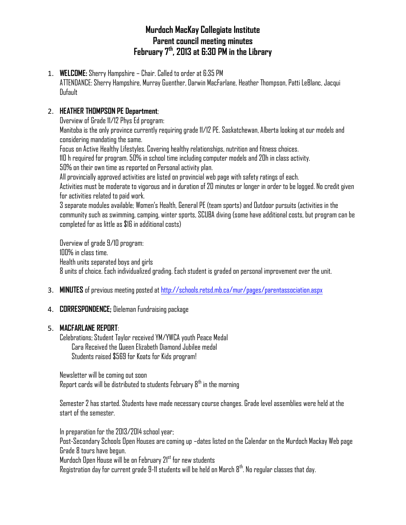# **Murdoch MacKay Collegiate Institute Parent council meeting minutes February 7th, 2013 at 6:30 PM in the Library**

1. **WELCOME:** Sherry Hampshire – Chair. Called to order at 6:35 PM ATTENDANCE: Sherry Hampshire, Murray Guenther, Darwin MacFarlane, Heather Thompson, Patti LeBlanc, Jacqui Dufault

### 2. **HEATHER THOMPSON PE Department**;

Overview of Grade 11/12 Phys Ed program:

Manitoba is the only province currently requiring grade 11/12 PE. Saskatchewan, Alberta looking at our models and considering mandating the same.

Focus on Active Healthy Lifestyles. Covering healthy relationships, nutrition and fitness choices.

110 h required for program. 50% in school time including computer models and 20h in class activity.

50% on their own time as reported on Personal activity plan.

All provincially approved activities are listed on provincial web page with safety ratings of each.

Activities must be moderate to vigorous and in duration of 20 minutes or longer in order to be logged. No credit given for activities related to paid work.

3 separate modules available; Women's Health, General PE (team sports) and Outdoor pursuits (activities in the community such as swimming, camping, winter sports, SCUBA diving (some have additional costs, but program can be completed for as little as \$16 in additional costs)

Overview of grade 9/10 program: 100% in class time. Health units separated boys and girls 8 units of choice. Each individualized grading. Each student is graded on personal improvement over the unit.

3. **MINUTES** of previous meeting posted at<http://schools.retsd.mb.ca/mur/pages/parentassociation.aspx>

### 4. **CORRESPONDENCE;** Dieleman Fundraising package

### 5. **MACFARLANE REPORT**:

Celebrations; Student Taylor received YM/YWCA youth Peace Medal Cara Received the Queen Elizabeth Diamond Jubilee medal Students raised \$569 for Koats for Kids program!

Newsletter will be coming out soon Report cards will be distributed to students February  $8<sup>th</sup>$  in the morning

Semester 2 has started. Students have made necessary course changes. Grade level assemblies were held at the start of the semester.

In preparation for the 2013/2014 school year;

Post-Secondary Schools Open Houses are coming up –dates listed on the Calendar on the Murdoch Mackay Web page Grade 8 tours have begun.

Murdoch Open House will be on February 21<sup>st</sup> for new students

Registration day for current grade 9-11 students will be held on March  $8<sup>th</sup>$ . No regular classes that day.